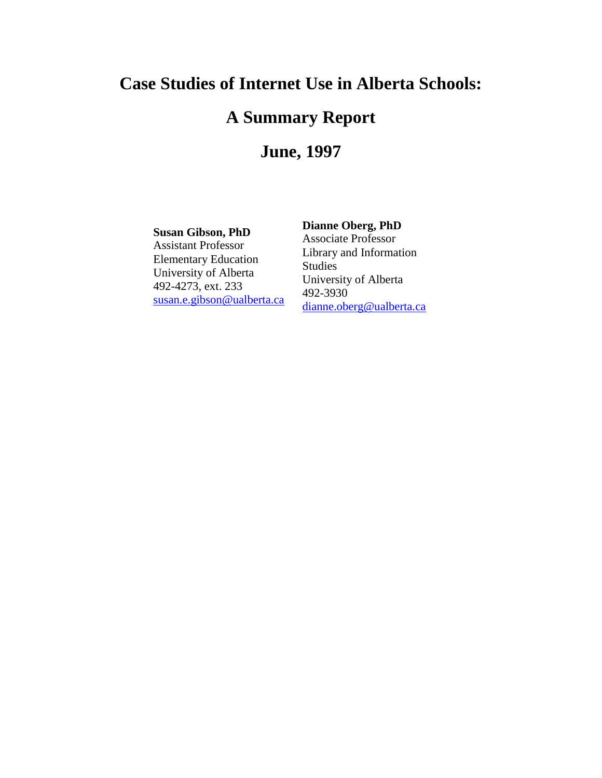### **Case Studies of Internet Use in Alberta Schools:**

## **A Summary Report**

## **June, 1997**

#### **Susan Gibson, PhD**

Assistant Professor Elementary Education University of Alberta 492-4273, ext. 233 [susan.e.gibson@ualberta.ca](mailto:susan.e.gibson@ualberta.ca)

#### **Dianne Oberg, PhD**

Associate Professor Library and Information Studies University of Alberta 492-3930 [dianne.oberg@ualberta.ca](mailto:dianne.oberg@ualberta.ca)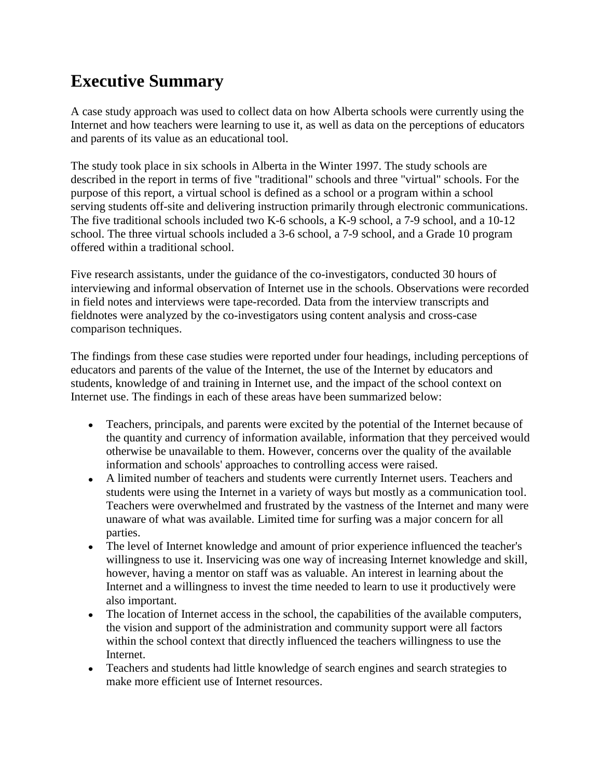# **Executive Summary**

A case study approach was used to collect data on how Alberta schools were currently using the Internet and how teachers were learning to use it, as well as data on the perceptions of educators and parents of its value as an educational tool.

The study took place in six schools in Alberta in the Winter 1997. The study schools are described in the report in terms of five "traditional" schools and three "virtual" schools. For the purpose of this report, a virtual school is defined as a school or a program within a school serving students off-site and delivering instruction primarily through electronic communications. The five traditional schools included two K-6 schools, a K-9 school, a 7-9 school, and a 10-12 school. The three virtual schools included a 3-6 school, a 7-9 school, and a Grade 10 program offered within a traditional school.

Five research assistants, under the guidance of the co-investigators, conducted 30 hours of interviewing and informal observation of Internet use in the schools. Observations were recorded in field notes and interviews were tape-recorded. Data from the interview transcripts and fieldnotes were analyzed by the co-investigators using content analysis and cross-case comparison techniques.

The findings from these case studies were reported under four headings, including perceptions of educators and parents of the value of the Internet, the use of the Internet by educators and students, knowledge of and training in Internet use, and the impact of the school context on Internet use. The findings in each of these areas have been summarized below:

- Teachers, principals, and parents were excited by the potential of the Internet because of  $\bullet$ the quantity and currency of information available, information that they perceived would otherwise be unavailable to them. However, concerns over the quality of the available information and schools' approaches to controlling access were raised.
- A limited number of teachers and students were currently Internet users. Teachers and students were using the Internet in a variety of ways but mostly as a communication tool. Teachers were overwhelmed and frustrated by the vastness of the Internet and many were unaware of what was available. Limited time for surfing was a major concern for all parties.
- The level of Internet knowledge and amount of prior experience influenced the teacher's willingness to use it. Inservicing was one way of increasing Internet knowledge and skill, however, having a mentor on staff was as valuable. An interest in learning about the Internet and a willingness to invest the time needed to learn to use it productively were also important.
- The location of Internet access in the school, the capabilities of the available computers, the vision and support of the administration and community support were all factors within the school context that directly influenced the teachers willingness to use the Internet.
- Teachers and students had little knowledge of search engines and search strategies to make more efficient use of Internet resources.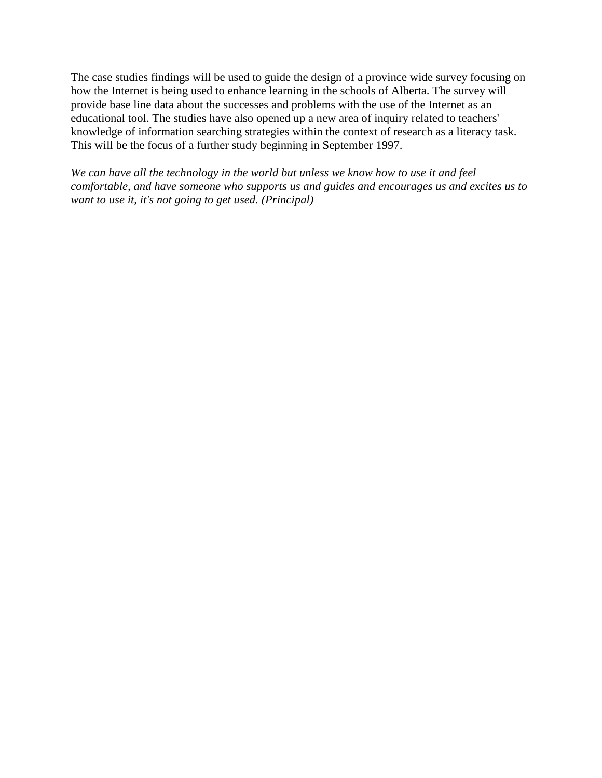The case studies findings will be used to guide the design of a province wide survey focusing on how the Internet is being used to enhance learning in the schools of Alberta. The survey will provide base line data about the successes and problems with the use of the Internet as an educational tool. The studies have also opened up a new area of inquiry related to teachers' knowledge of information searching strategies within the context of research as a literacy task. This will be the focus of a further study beginning in September 1997.

*We can have all the technology in the world but unless we know how to use it and feel comfortable, and have someone who supports us and guides and encourages us and excites us to want to use it, it's not going to get used. (Principal)*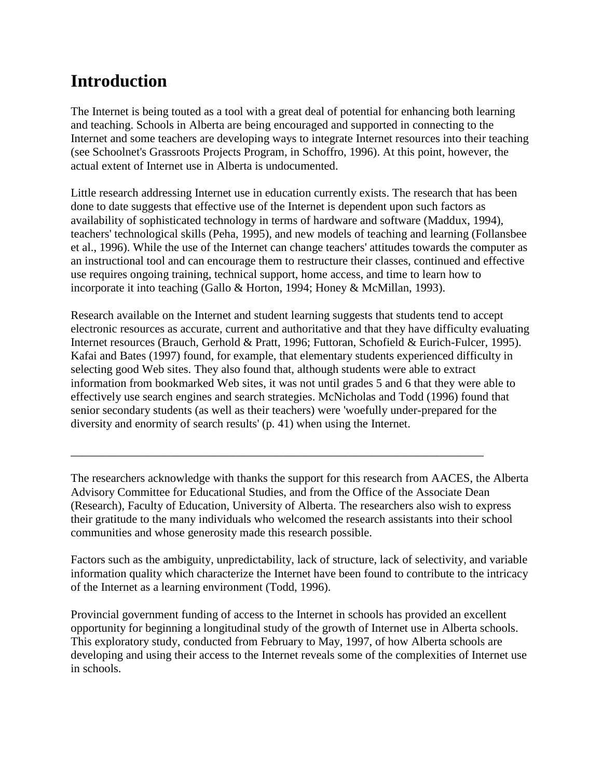# **Introduction**

The Internet is being touted as a tool with a great deal of potential for enhancing both learning and teaching. Schools in Alberta are being encouraged and supported in connecting to the Internet and some teachers are developing ways to integrate Internet resources into their teaching (see Schoolnet's Grassroots Projects Program, in Schoffro, 1996). At this point, however, the actual extent of Internet use in Alberta is undocumented.

Little research addressing Internet use in education currently exists. The research that has been done to date suggests that effective use of the Internet is dependent upon such factors as availability of sophisticated technology in terms of hardware and software (Maddux, 1994), teachers' technological skills (Peha, 1995), and new models of teaching and learning (Follansbee et al., 1996). While the use of the Internet can change teachers' attitudes towards the computer as an instructional tool and can encourage them to restructure their classes, continued and effective use requires ongoing training, technical support, home access, and time to learn how to incorporate it into teaching (Gallo & Horton, 1994; Honey & McMillan, 1993).

Research available on the Internet and student learning suggests that students tend to accept electronic resources as accurate, current and authoritative and that they have difficulty evaluating Internet resources (Brauch, Gerhold & Pratt, 1996; Futtoran, Schofield & Eurich-Fulcer, 1995). Kafai and Bates (1997) found, for example, that elementary students experienced difficulty in selecting good Web sites. They also found that, although students were able to extract information from bookmarked Web sites, it was not until grades 5 and 6 that they were able to effectively use search engines and search strategies. McNicholas and Todd (1996) found that senior secondary students (as well as their teachers) were 'woefully under-prepared for the diversity and enormity of search results' (p. 41) when using the Internet.

The researchers acknowledge with thanks the support for this research from AACES, the Alberta Advisory Committee for Educational Studies, and from the Office of the Associate Dean (Research), Faculty of Education, University of Alberta. The researchers also wish to express their gratitude to the many individuals who welcomed the research assistants into their school communities and whose generosity made this research possible.

\_\_\_\_\_\_\_\_\_\_\_\_\_\_\_\_\_\_\_\_\_\_\_\_\_\_\_\_\_\_\_\_\_\_\_\_\_\_\_\_\_\_\_\_\_\_\_\_\_\_\_\_\_\_\_\_\_\_\_\_\_\_\_\_\_\_\_\_\_\_

Factors such as the ambiguity, unpredictability, lack of structure, lack of selectivity, and variable information quality which characterize the Internet have been found to contribute to the intricacy of the Internet as a learning environment (Todd, 1996).

Provincial government funding of access to the Internet in schools has provided an excellent opportunity for beginning a longitudinal study of the growth of Internet use in Alberta schools. This exploratory study, conducted from February to May, 1997, of how Alberta schools are developing and using their access to the Internet reveals some of the complexities of Internet use in schools.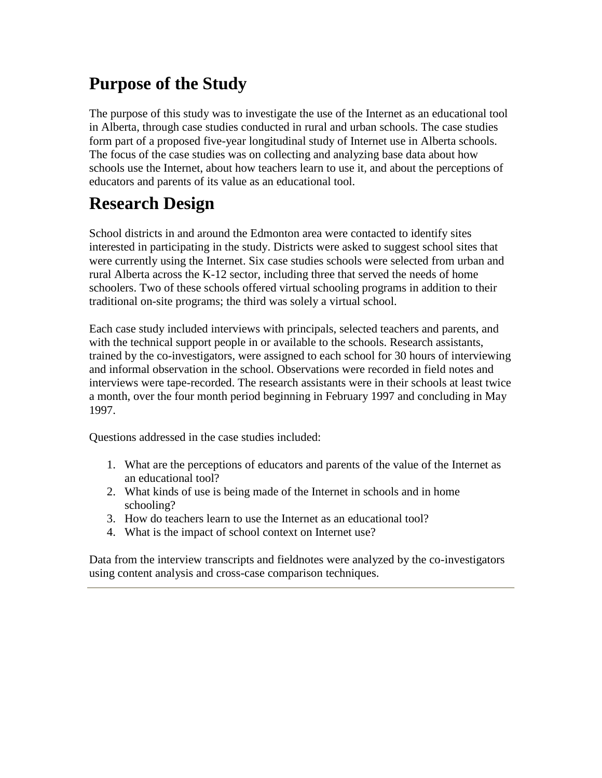# **Purpose of the Study**

The purpose of this study was to investigate the use of the Internet as an educational tool in Alberta, through case studies conducted in rural and urban schools. The case studies form part of a proposed five-year longitudinal study of Internet use in Alberta schools. The focus of the case studies was on collecting and analyzing base data about how schools use the Internet, about how teachers learn to use it, and about the perceptions of educators and parents of its value as an educational tool.

# **Research Design**

School districts in and around the Edmonton area were contacted to identify sites interested in participating in the study. Districts were asked to suggest school sites that were currently using the Internet. Six case studies schools were selected from urban and rural Alberta across the K-12 sector, including three that served the needs of home schoolers. Two of these schools offered virtual schooling programs in addition to their traditional on-site programs; the third was solely a virtual school.

Each case study included interviews with principals, selected teachers and parents, and with the technical support people in or available to the schools. Research assistants, trained by the co-investigators, were assigned to each school for 30 hours of interviewing and informal observation in the school. Observations were recorded in field notes and interviews were tape-recorded. The research assistants were in their schools at least twice a month, over the four month period beginning in February 1997 and concluding in May 1997.

Questions addressed in the case studies included:

- 1. What are the perceptions of educators and parents of the value of the Internet as an educational tool?
- 2. What kinds of use is being made of the Internet in schools and in home schooling?
- 3. How do teachers learn to use the Internet as an educational tool?
- 4. What is the impact of school context on Internet use?

Data from the interview transcripts and fieldnotes were analyzed by the co-investigators using content analysis and cross-case comparison techniques.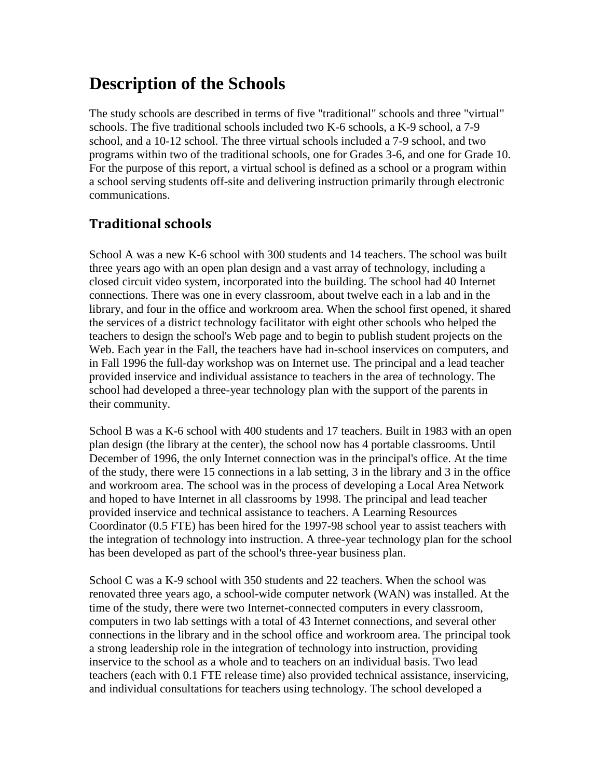## **Description of the Schools**

The study schools are described in terms of five "traditional" schools and three "virtual" schools. The five traditional schools included two K-6 schools, a K-9 school, a 7-9 school, and a 10-12 school. The three virtual schools included a 7-9 school, and two programs within two of the traditional schools, one for Grades 3-6, and one for Grade 10. For the purpose of this report, a virtual school is defined as a school or a program within a school serving students off-site and delivering instruction primarily through electronic communications.

### **Traditional schools**

School A was a new K-6 school with 300 students and 14 teachers. The school was built three years ago with an open plan design and a vast array of technology, including a closed circuit video system, incorporated into the building. The school had 40 Internet connections. There was one in every classroom, about twelve each in a lab and in the library, and four in the office and workroom area. When the school first opened, it shared the services of a district technology facilitator with eight other schools who helped the teachers to design the school's Web page and to begin to publish student projects on the Web. Each year in the Fall, the teachers have had in-school inservices on computers, and in Fall 1996 the full-day workshop was on Internet use. The principal and a lead teacher provided inservice and individual assistance to teachers in the area of technology. The school had developed a three-year technology plan with the support of the parents in their community.

School B was a K-6 school with 400 students and 17 teachers. Built in 1983 with an open plan design (the library at the center), the school now has 4 portable classrooms. Until December of 1996, the only Internet connection was in the principal's office. At the time of the study, there were 15 connections in a lab setting, 3 in the library and 3 in the office and workroom area. The school was in the process of developing a Local Area Network and hoped to have Internet in all classrooms by 1998. The principal and lead teacher provided inservice and technical assistance to teachers. A Learning Resources Coordinator (0.5 FTE) has been hired for the 1997-98 school year to assist teachers with the integration of technology into instruction. A three-year technology plan for the school has been developed as part of the school's three-year business plan.

School C was a K-9 school with 350 students and 22 teachers. When the school was renovated three years ago, a school-wide computer network (WAN) was installed. At the time of the study, there were two Internet-connected computers in every classroom, computers in two lab settings with a total of 43 Internet connections, and several other connections in the library and in the school office and workroom area. The principal took a strong leadership role in the integration of technology into instruction, providing inservice to the school as a whole and to teachers on an individual basis. Two lead teachers (each with 0.1 FTE release time) also provided technical assistance, inservicing, and individual consultations for teachers using technology. The school developed a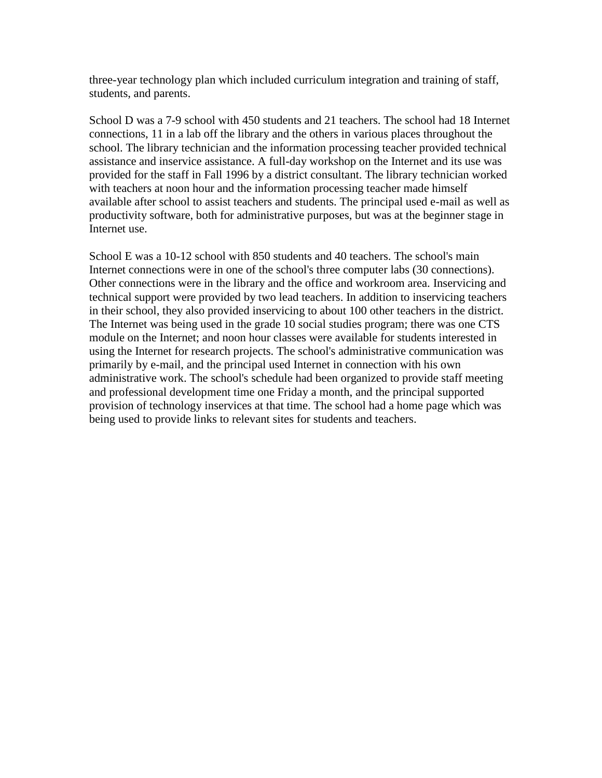three-year technology plan which included curriculum integration and training of staff, students, and parents.

School D was a 7-9 school with 450 students and 21 teachers. The school had 18 Internet connections, 11 in a lab off the library and the others in various places throughout the school. The library technician and the information processing teacher provided technical assistance and inservice assistance. A full-day workshop on the Internet and its use was provided for the staff in Fall 1996 by a district consultant. The library technician worked with teachers at noon hour and the information processing teacher made himself available after school to assist teachers and students. The principal used e-mail as well as productivity software, both for administrative purposes, but was at the beginner stage in Internet use.

School E was a 10-12 school with 850 students and 40 teachers. The school's main Internet connections were in one of the school's three computer labs (30 connections). Other connections were in the library and the office and workroom area. Inservicing and technical support were provided by two lead teachers. In addition to inservicing teachers in their school, they also provided inservicing to about 100 other teachers in the district. The Internet was being used in the grade 10 social studies program; there was one CTS module on the Internet; and noon hour classes were available for students interested in using the Internet for research projects. The school's administrative communication was primarily by e-mail, and the principal used Internet in connection with his own administrative work. The school's schedule had been organized to provide staff meeting and professional development time one Friday a month, and the principal supported provision of technology inservices at that time. The school had a home page which was being used to provide links to relevant sites for students and teachers.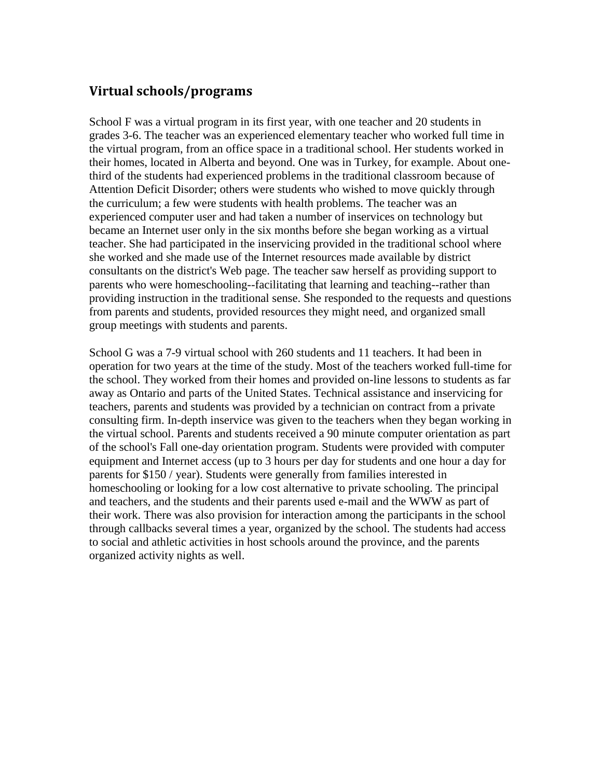### **Virtual schools/programs**

School F was a virtual program in its first year, with one teacher and 20 students in grades 3-6. The teacher was an experienced elementary teacher who worked full time in the virtual program, from an office space in a traditional school. Her students worked in their homes, located in Alberta and beyond. One was in Turkey, for example. About onethird of the students had experienced problems in the traditional classroom because of Attention Deficit Disorder; others were students who wished to move quickly through the curriculum; a few were students with health problems. The teacher was an experienced computer user and had taken a number of inservices on technology but became an Internet user only in the six months before she began working as a virtual teacher. She had participated in the inservicing provided in the traditional school where she worked and she made use of the Internet resources made available by district consultants on the district's Web page. The teacher saw herself as providing support to parents who were homeschooling--facilitating that learning and teaching--rather than providing instruction in the traditional sense. She responded to the requests and questions from parents and students, provided resources they might need, and organized small group meetings with students and parents.

School G was a 7-9 virtual school with 260 students and 11 teachers. It had been in operation for two years at the time of the study. Most of the teachers worked full-time for the school. They worked from their homes and provided on-line lessons to students as far away as Ontario and parts of the United States. Technical assistance and inservicing for teachers, parents and students was provided by a technician on contract from a private consulting firm. In-depth inservice was given to the teachers when they began working in the virtual school. Parents and students received a 90 minute computer orientation as part of the school's Fall one-day orientation program. Students were provided with computer equipment and Internet access (up to 3 hours per day for students and one hour a day for parents for \$150 / year). Students were generally from families interested in homeschooling or looking for a low cost alternative to private schooling. The principal and teachers, and the students and their parents used e-mail and the WWW as part of their work. There was also provision for interaction among the participants in the school through callbacks several times a year, organized by the school. The students had access to social and athletic activities in host schools around the province, and the parents organized activity nights as well.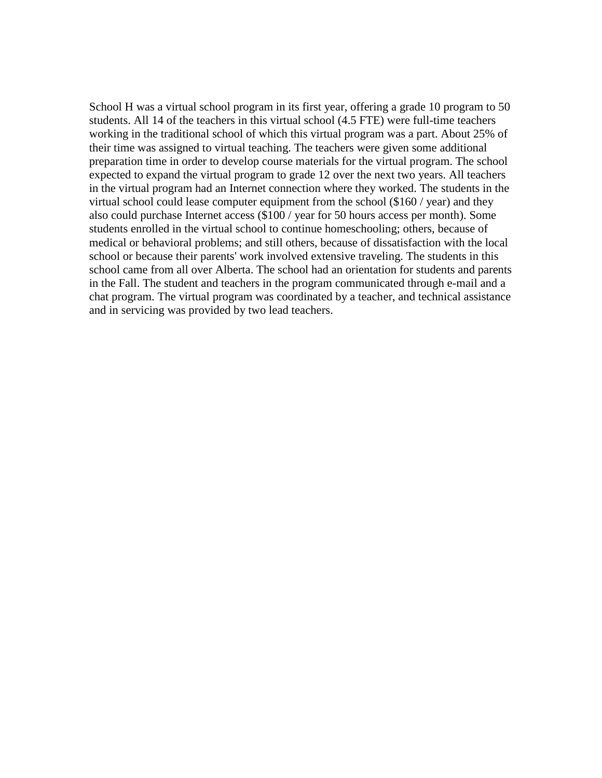School H was a virtual school program in its first year, offering a grade 10 program to 50 students. All 14 of the teachers in this virtual school (4.5 FTE) were full-time teachers working in the traditional school of which this virtual program was a part. About 25% of their time was assigned to virtual teaching. The teachers were given some additional preparation time in order to develop course materials for the virtual program. The school expected to expand the virtual program to grade 12 over the next two years. All teachers in the virtual program had an Internet connection where they worked. The students in the virtual school could lease computer equipment from the school (\$160 / year) and they also could purchase Internet access (\$100 / year for 50 hours access per month). Some students enrolled in the virtual school to continue homeschooling; others, because of medical or behavioral problems; and still others, because of dissatisfaction with the local school or because their parents' work involved extensive traveling. The students in this school came from all over Alberta. The school had an orientation for students and parents in the Fall. The student and teachers in the program communicated through e-mail and a chat program. The virtual program was coordinated by a teacher, and technical assistance and in servicing was provided by two lead teachers.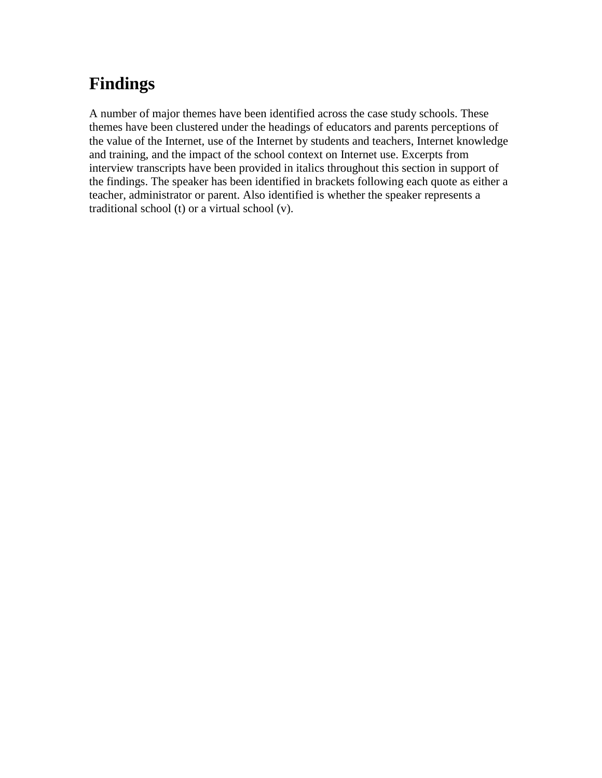# **Findings**

A number of major themes have been identified across the case study schools. These themes have been clustered under the headings of educators and parents perceptions of the value of the Internet, use of the Internet by students and teachers, Internet knowledge and training, and the impact of the school context on Internet use. Excerpts from interview transcripts have been provided in italics throughout this section in support of the findings. The speaker has been identified in brackets following each quote as either a teacher, administrator or parent. Also identified is whether the speaker represents a traditional school (t) or a virtual school (v).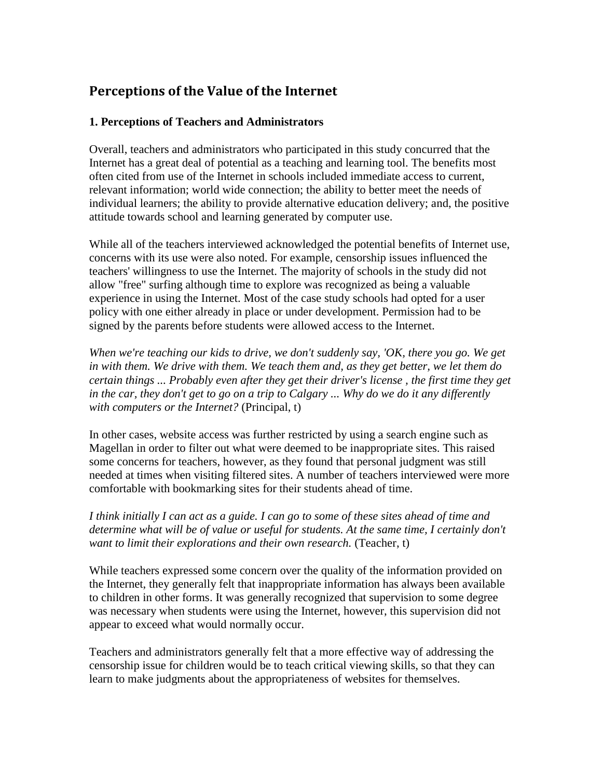### **Perceptions of the Value of the Internet**

#### **1. Perceptions of Teachers and Administrators**

Overall, teachers and administrators who participated in this study concurred that the Internet has a great deal of potential as a teaching and learning tool. The benefits most often cited from use of the Internet in schools included immediate access to current, relevant information; world wide connection; the ability to better meet the needs of individual learners; the ability to provide alternative education delivery; and, the positive attitude towards school and learning generated by computer use.

While all of the teachers interviewed acknowledged the potential benefits of Internet use, concerns with its use were also noted. For example, censorship issues influenced the teachers' willingness to use the Internet. The majority of schools in the study did not allow "free" surfing although time to explore was recognized as being a valuable experience in using the Internet. Most of the case study schools had opted for a user policy with one either already in place or under development. Permission had to be signed by the parents before students were allowed access to the Internet.

*When we're teaching our kids to drive, we don't suddenly say, 'OK, there you go. We get in with them. We drive with them. We teach them and, as they get better, we let them do certain things ... Probably even after they get their driver's license , the first time they get in the car, they don't get to go on a trip to Calgary ... Why do we do it any differently with computers or the Internet?* (Principal, t)

In other cases, website access was further restricted by using a search engine such as Magellan in order to filter out what were deemed to be inappropriate sites. This raised some concerns for teachers, however, as they found that personal judgment was still needed at times when visiting filtered sites. A number of teachers interviewed were more comfortable with bookmarking sites for their students ahead of time.

*I think initially I can act as a guide. I can go to some of these sites ahead of time and determine what will be of value or useful for students. At the same time, I certainly don't want to limit their explorations and their own research.* (Teacher, t)

While teachers expressed some concern over the quality of the information provided on the Internet, they generally felt that inappropriate information has always been available to children in other forms. It was generally recognized that supervision to some degree was necessary when students were using the Internet, however, this supervision did not appear to exceed what would normally occur.

Teachers and administrators generally felt that a more effective way of addressing the censorship issue for children would be to teach critical viewing skills, so that they can learn to make judgments about the appropriateness of websites for themselves.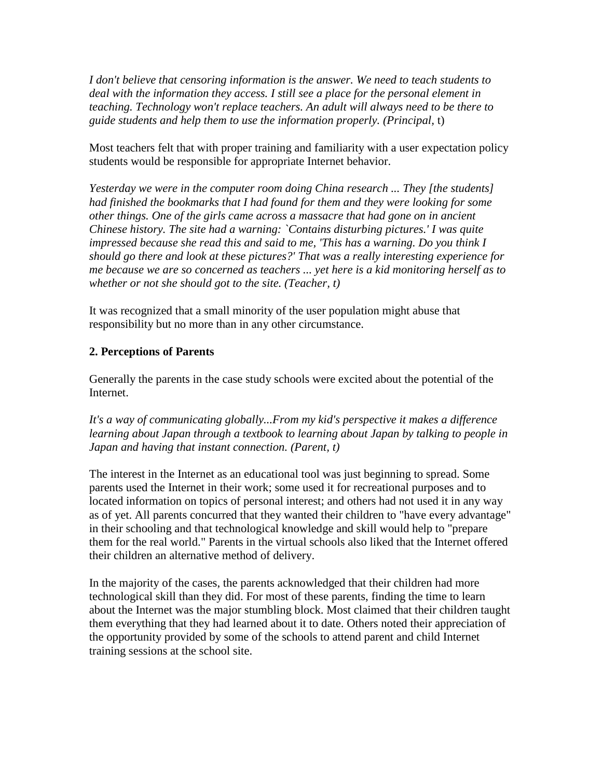*I don't believe that censoring information is the answer. We need to teach students to deal with the information they access. I still see a place for the personal element in teaching. Technology won't replace teachers. An adult will always need to be there to guide students and help them to use the information properly. (Principal,* t)

Most teachers felt that with proper training and familiarity with a user expectation policy students would be responsible for appropriate Internet behavior.

*Yesterday we were in the computer room doing China research ... They [the students] had finished the bookmarks that I had found for them and they were looking for some other things. One of the girls came across a massacre that had gone on in ancient Chinese history. The site had a warning: `Contains disturbing pictures.' I was quite impressed because she read this and said to me, 'This has a warning. Do you think I should go there and look at these pictures?' That was a really interesting experience for me because we are so concerned as teachers ... yet here is a kid monitoring herself as to whether or not she should got to the site. (Teacher, t)*

It was recognized that a small minority of the user population might abuse that responsibility but no more than in any other circumstance.

#### **2. Perceptions of Parents**

Generally the parents in the case study schools were excited about the potential of the Internet.

*It's a way of communicating globally...From my kid's perspective it makes a difference learning about Japan through a textbook to learning about Japan by talking to people in Japan and having that instant connection. (Parent, t)*

The interest in the Internet as an educational tool was just beginning to spread. Some parents used the Internet in their work; some used it for recreational purposes and to located information on topics of personal interest; and others had not used it in any way as of yet. All parents concurred that they wanted their children to "have every advantage" in their schooling and that technological knowledge and skill would help to "prepare them for the real world." Parents in the virtual schools also liked that the Internet offered their children an alternative method of delivery.

In the majority of the cases, the parents acknowledged that their children had more technological skill than they did. For most of these parents, finding the time to learn about the Internet was the major stumbling block. Most claimed that their children taught them everything that they had learned about it to date. Others noted their appreciation of the opportunity provided by some of the schools to attend parent and child Internet training sessions at the school site.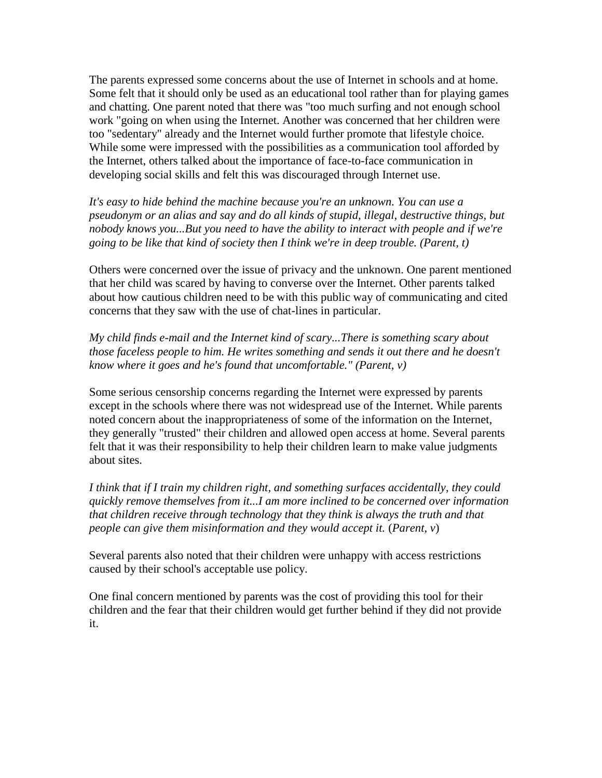The parents expressed some concerns about the use of Internet in schools and at home. Some felt that it should only be used as an educational tool rather than for playing games and chatting. One parent noted that there was "too much surfing and not enough school work "going on when using the Internet. Another was concerned that her children were too "sedentary" already and the Internet would further promote that lifestyle choice. While some were impressed with the possibilities as a communication tool afforded by the Internet, others talked about the importance of face-to-face communication in developing social skills and felt this was discouraged through Internet use.

*It's easy to hide behind the machine because you're an unknown. You can use a pseudonym or an alias and say and do all kinds of stupid, illegal, destructive things, but nobody knows you...But you need to have the ability to interact with people and if we're going to be like that kind of society then I think we're in deep trouble. (Parent, t)*

Others were concerned over the issue of privacy and the unknown. One parent mentioned that her child was scared by having to converse over the Internet. Other parents talked about how cautious children need to be with this public way of communicating and cited concerns that they saw with the use of chat-lines in particular.

*My child finds e-mail and the Internet kind of scary...There is something scary about those faceless people to him. He writes something and sends it out there and he doesn't know where it goes and he's found that uncomfortable." (Parent, v)*

Some serious censorship concerns regarding the Internet were expressed by parents except in the schools where there was not widespread use of the Internet. While parents noted concern about the inappropriateness of some of the information on the Internet, they generally "trusted" their children and allowed open access at home. Several parents felt that it was their responsibility to help their children learn to make value judgments about sites.

*I think that if I train my children right, and something surfaces accidentally, they could quickly remove themselves from it...I am more inclined to be concerned over information that children receive through technology that they think is always the truth and that people can give them misinformation and they would accept it.* (*Parent, v*)

Several parents also noted that their children were unhappy with access restrictions caused by their school's acceptable use policy.

One final concern mentioned by parents was the cost of providing this tool for their children and the fear that their children would get further behind if they did not provide it.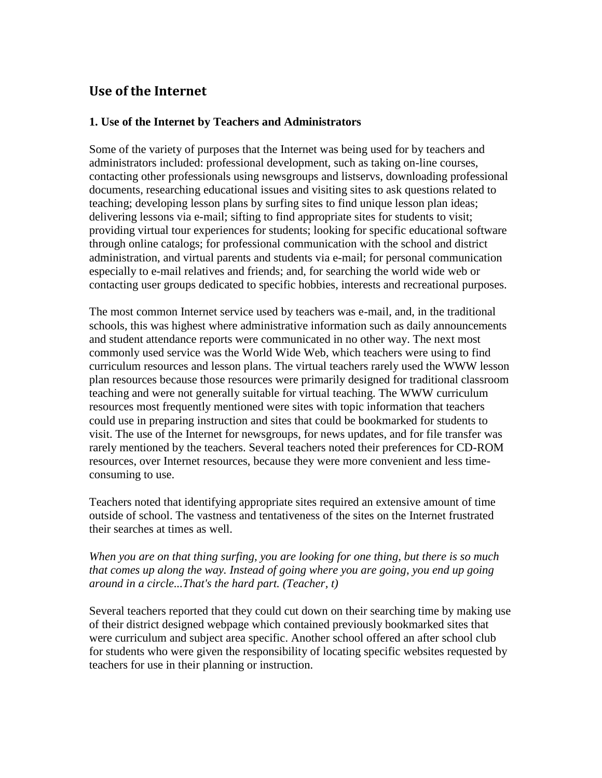### **Use of the Internet**

#### **1. Use of the Internet by Teachers and Administrators**

Some of the variety of purposes that the Internet was being used for by teachers and administrators included: professional development, such as taking on-line courses, contacting other professionals using newsgroups and listservs, downloading professional documents, researching educational issues and visiting sites to ask questions related to teaching; developing lesson plans by surfing sites to find unique lesson plan ideas; delivering lessons via e-mail; sifting to find appropriate sites for students to visit; providing virtual tour experiences for students; looking for specific educational software through online catalogs; for professional communication with the school and district administration, and virtual parents and students via e-mail; for personal communication especially to e-mail relatives and friends; and, for searching the world wide web or contacting user groups dedicated to specific hobbies, interests and recreational purposes.

The most common Internet service used by teachers was e-mail, and, in the traditional schools, this was highest where administrative information such as daily announcements and student attendance reports were communicated in no other way. The next most commonly used service was the World Wide Web, which teachers were using to find curriculum resources and lesson plans. The virtual teachers rarely used the WWW lesson plan resources because those resources were primarily designed for traditional classroom teaching and were not generally suitable for virtual teaching. The WWW curriculum resources most frequently mentioned were sites with topic information that teachers could use in preparing instruction and sites that could be bookmarked for students to visit. The use of the Internet for newsgroups, for news updates, and for file transfer was rarely mentioned by the teachers. Several teachers noted their preferences for CD-ROM resources, over Internet resources, because they were more convenient and less timeconsuming to use.

Teachers noted that identifying appropriate sites required an extensive amount of time outside of school. The vastness and tentativeness of the sites on the Internet frustrated their searches at times as well.

#### *When you are on that thing surfing, you are looking for one thing, but there is so much that comes up along the way. Instead of going where you are going, you end up going around in a circle...That's the hard part. (Teacher, t)*

Several teachers reported that they could cut down on their searching time by making use of their district designed webpage which contained previously bookmarked sites that were curriculum and subject area specific. Another school offered an after school club for students who were given the responsibility of locating specific websites requested by teachers for use in their planning or instruction.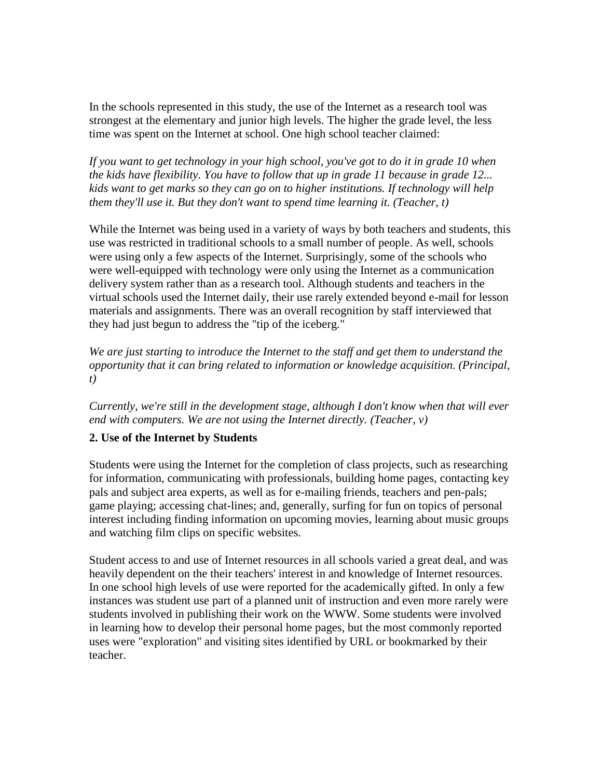In the schools represented in this study, the use of the Internet as a research tool was strongest at the elementary and junior high levels. The higher the grade level, the less time was spent on the Internet at school. One high school teacher claimed:

*If you want to get technology in your high school, you've got to do it in grade 10 when the kids have flexibility. You have to follow that up in grade 11 because in grade 12... kids want to get marks so they can go on to higher institutions. If technology will help them they'll use it. But they don't want to spend time learning it. (Teacher, t)*

While the Internet was being used in a variety of ways by both teachers and students, this use was restricted in traditional schools to a small number of people. As well, schools were using only a few aspects of the Internet. Surprisingly, some of the schools who were well-equipped with technology were only using the Internet as a communication delivery system rather than as a research tool. Although students and teachers in the virtual schools used the Internet daily, their use rarely extended beyond e-mail for lesson materials and assignments. There was an overall recognition by staff interviewed that they had just begun to address the "tip of the iceberg."

*We are just starting to introduce the Internet to the staff and get them to understand the opportunity that it can bring related to information or knowledge acquisition. (Principal, t)*

*Currently, we're still in the development stage, although I don't know when that will ever end with computers. We are not using the Internet directly. (Teacher, v)*

#### **2. Use of the Internet by Students**

Students were using the Internet for the completion of class projects, such as researching for information, communicating with professionals, building home pages, contacting key pals and subject area experts, as well as for e-mailing friends, teachers and pen-pals; game playing; accessing chat-lines; and, generally, surfing for fun on topics of personal interest including finding information on upcoming movies, learning about music groups and watching film clips on specific websites.

Student access to and use of Internet resources in all schools varied a great deal, and was heavily dependent on the their teachers' interest in and knowledge of Internet resources. In one school high levels of use were reported for the academically gifted. In only a few instances was student use part of a planned unit of instruction and even more rarely were students involved in publishing their work on the WWW. Some students were involved in learning how to develop their personal home pages, but the most commonly reported uses were "exploration" and visiting sites identified by URL or bookmarked by their teacher.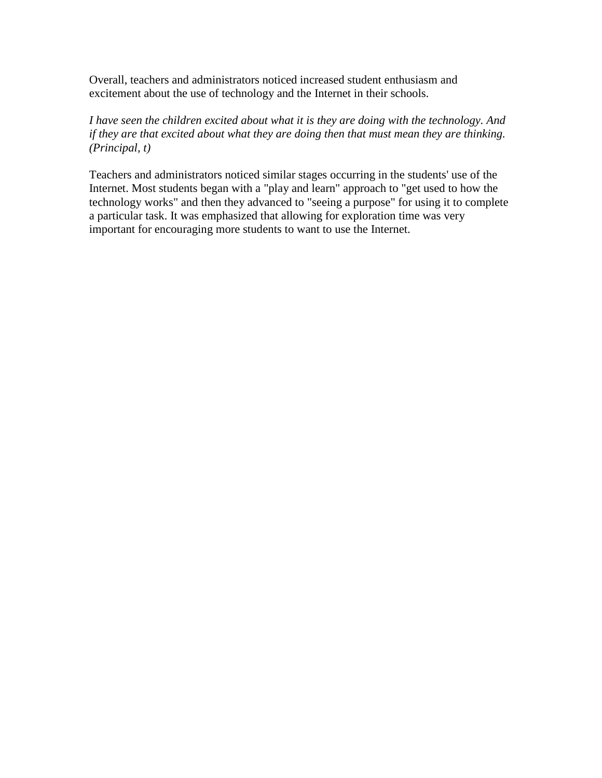Overall, teachers and administrators noticed increased student enthusiasm and excitement about the use of technology and the Internet in their schools.

*I have seen the children excited about what it is they are doing with the technology. And if they are that excited about what they are doing then that must mean they are thinking. (Principal, t)*

Teachers and administrators noticed similar stages occurring in the students' use of the Internet. Most students began with a "play and learn" approach to "get used to how the technology works" and then they advanced to "seeing a purpose" for using it to complete a particular task. It was emphasized that allowing for exploration time was very important for encouraging more students to want to use the Internet.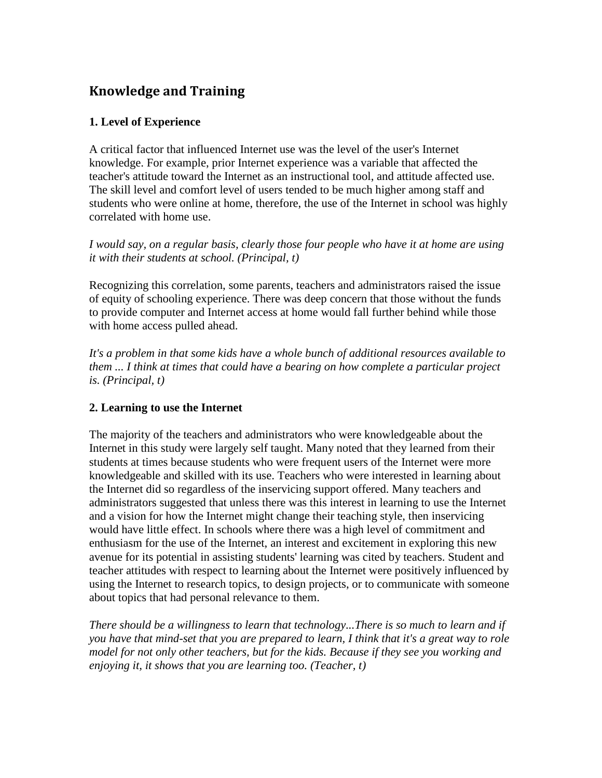### **Knowledge and Training**

#### **1. Level of Experience**

A critical factor that influenced Internet use was the level of the user's Internet knowledge. For example, prior Internet experience was a variable that affected the teacher's attitude toward the Internet as an instructional tool, and attitude affected use. The skill level and comfort level of users tended to be much higher among staff and students who were online at home, therefore, the use of the Internet in school was highly correlated with home use.

*I would say, on a regular basis, clearly those four people who have it at home are using it with their students at school. (Principal, t)*

Recognizing this correlation, some parents, teachers and administrators raised the issue of equity of schooling experience. There was deep concern that those without the funds to provide computer and Internet access at home would fall further behind while those with home access pulled ahead.

*It's a problem in that some kids have a whole bunch of additional resources available to them ... I think at times that could have a bearing on how complete a particular project is. (Principal, t)*

#### **2. Learning to use the Internet**

The majority of the teachers and administrators who were knowledgeable about the Internet in this study were largely self taught. Many noted that they learned from their students at times because students who were frequent users of the Internet were more knowledgeable and skilled with its use. Teachers who were interested in learning about the Internet did so regardless of the inservicing support offered. Many teachers and administrators suggested that unless there was this interest in learning to use the Internet and a vision for how the Internet might change their teaching style, then inservicing would have little effect. In schools where there was a high level of commitment and enthusiasm for the use of the Internet, an interest and excitement in exploring this new avenue for its potential in assisting students' learning was cited by teachers. Student and teacher attitudes with respect to learning about the Internet were positively influenced by using the Internet to research topics, to design projects, or to communicate with someone about topics that had personal relevance to them.

*There should be a willingness to learn that technology...There is so much to learn and if you have that mind-set that you are prepared to learn, I think that it's a great way to role model for not only other teachers, but for the kids. Because if they see you working and enjoying it, it shows that you are learning too. (Teacher, t)*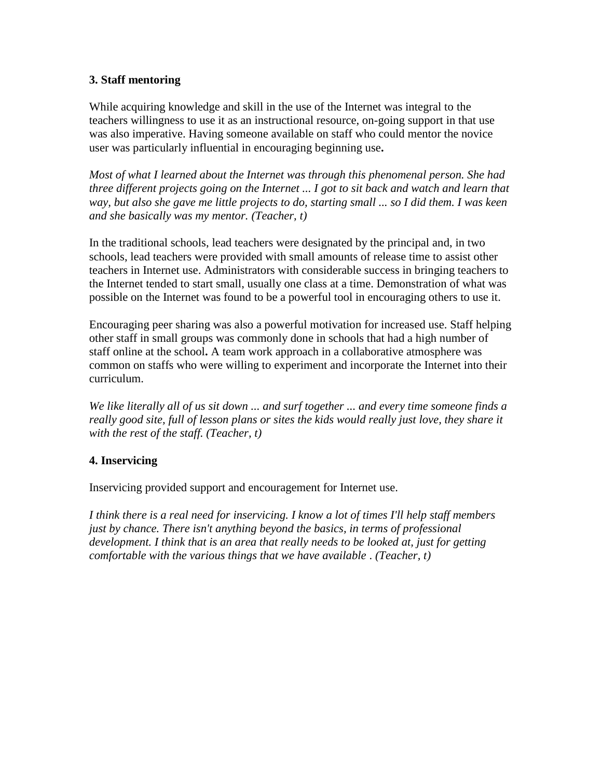#### **3. Staff mentoring**

While acquiring knowledge and skill in the use of the Internet was integral to the teachers willingness to use it as an instructional resource, on-going support in that use was also imperative. Having someone available on staff who could mentor the novice user was particularly influential in encouraging beginning use**.** 

*Most of what I learned about the Internet was through this phenomenal person. She had three different projects going on the Internet ... I got to sit back and watch and learn that way, but also she gave me little projects to do, starting small ... so I did them. I was keen and she basically was my mentor. (Teacher, t)*

In the traditional schools, lead teachers were designated by the principal and, in two schools, lead teachers were provided with small amounts of release time to assist other teachers in Internet use. Administrators with considerable success in bringing teachers to the Internet tended to start small, usually one class at a time. Demonstration of what was possible on the Internet was found to be a powerful tool in encouraging others to use it.

Encouraging peer sharing was also a powerful motivation for increased use. Staff helping other staff in small groups was commonly done in schools that had a high number of staff online at the school**.** A team work approach in a collaborative atmosphere was common on staffs who were willing to experiment and incorporate the Internet into their curriculum.

*We like literally all of us sit down ... and surf together ... and every time someone finds a really good site, full of lesson plans or sites the kids would really just love, they share it with the rest of the staff. (Teacher, t)* 

#### **4. Inservicing**

Inservicing provided support and encouragement for Internet use.

*I think there is a real need for inservicing. I know a lot of times I'll help staff members just by chance. There isn't anything beyond the basics, in terms of professional development. I think that is an area that really needs to be looked at, just for getting comfortable with the various things that we have available* . *(Teacher, t)*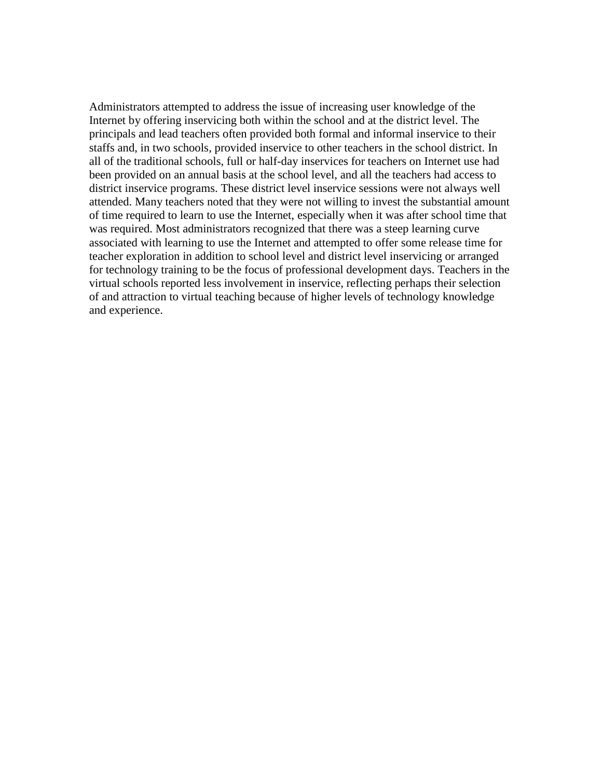Administrators attempted to address the issue of increasing user knowledge of the Internet by offering inservicing both within the school and at the district level. The principals and lead teachers often provided both formal and informal inservice to their staffs and, in two schools, provided inservice to other teachers in the school district. In all of the traditional schools, full or half-day inservices for teachers on Internet use had been provided on an annual basis at the school level, and all the teachers had access to district inservice programs. These district level inservice sessions were not always well attended. Many teachers noted that they were not willing to invest the substantial amount of time required to learn to use the Internet, especially when it was after school time that was required. Most administrators recognized that there was a steep learning curve associated with learning to use the Internet and attempted to offer some release time for teacher exploration in addition to school level and district level inservicing or arranged for technology training to be the focus of professional development days. Teachers in the virtual schools reported less involvement in inservice, reflecting perhaps their selection of and attraction to virtual teaching because of higher levels of technology knowledge and experience.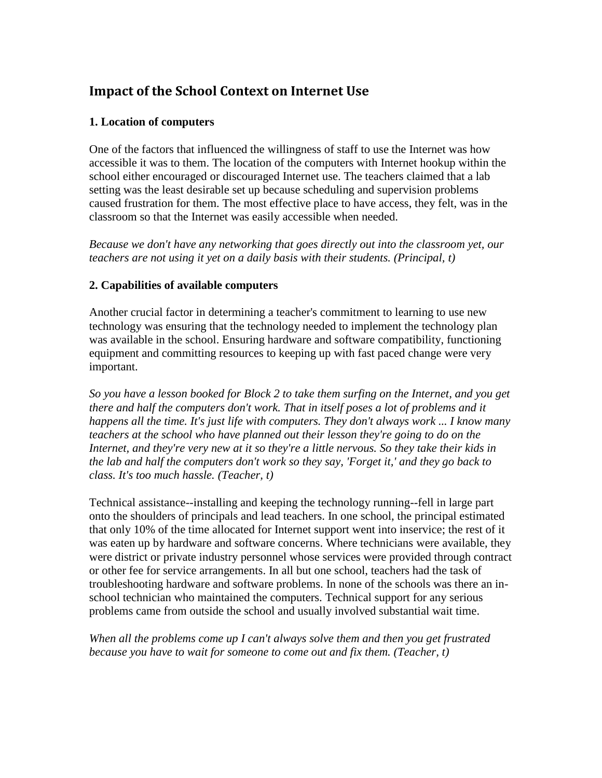### **Impact of the School Context on Internet Use**

#### **1. Location of computers**

One of the factors that influenced the willingness of staff to use the Internet was how accessible it was to them. The location of the computers with Internet hookup within the school either encouraged or discouraged Internet use. The teachers claimed that a lab setting was the least desirable set up because scheduling and supervision problems caused frustration for them. The most effective place to have access, they felt, was in the classroom so that the Internet was easily accessible when needed.

*Because we don't have any networking that goes directly out into the classroom yet, our teachers are not using it yet on a daily basis with their students. (Principal, t)*

#### **2. Capabilities of available computers**

Another crucial factor in determining a teacher's commitment to learning to use new technology was ensuring that the technology needed to implement the technology plan was available in the school. Ensuring hardware and software compatibility, functioning equipment and committing resources to keeping up with fast paced change were very important.

*So you have a lesson booked for Block 2 to take them surfing on the Internet, and you get there and half the computers don't work. That in itself poses a lot of problems and it happens all the time. It's just life with computers. They don't always work ... I know many teachers at the school who have planned out their lesson they're going to do on the Internet, and they're very new at it so they're a little nervous. So they take their kids in the lab and half the computers don't work so they say, 'Forget it,' and they go back to class. It's too much hassle. (Teacher, t)*

Technical assistance--installing and keeping the technology running--fell in large part onto the shoulders of principals and lead teachers. In one school, the principal estimated that only 10% of the time allocated for Internet support went into inservice; the rest of it was eaten up by hardware and software concerns. Where technicians were available, they were district or private industry personnel whose services were provided through contract or other fee for service arrangements. In all but one school, teachers had the task of troubleshooting hardware and software problems. In none of the schools was there an inschool technician who maintained the computers. Technical support for any serious problems came from outside the school and usually involved substantial wait time.

*When all the problems come up I can't always solve them and then you get frustrated because you have to wait for someone to come out and fix them. (Teacher, t)*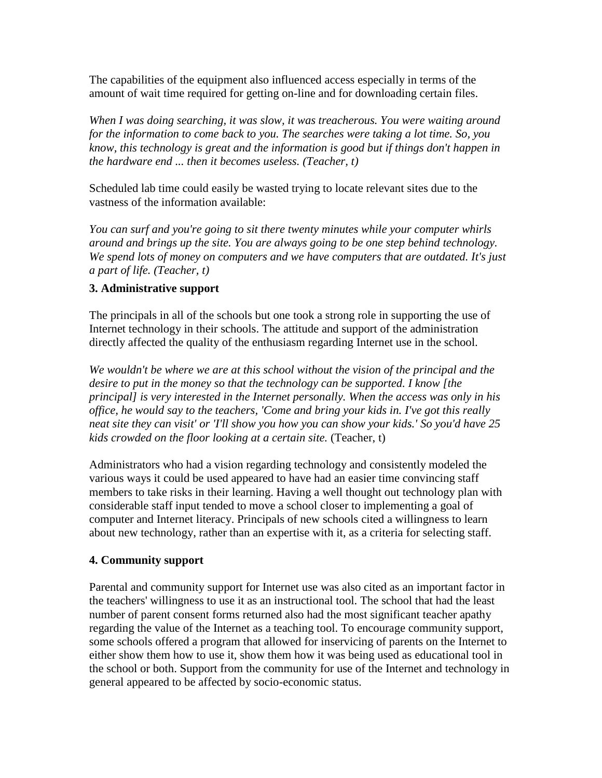The capabilities of the equipment also influenced access especially in terms of the amount of wait time required for getting on-line and for downloading certain files.

*When I was doing searching, it was slow, it was treacherous. You were waiting around for the information to come back to you. The searches were taking a lot time. So, you know, this technology is great and the information is good but if things don't happen in the hardware end ... then it becomes useless. (Teacher, t)*

Scheduled lab time could easily be wasted trying to locate relevant sites due to the vastness of the information available:

*You can surf and you're going to sit there twenty minutes while your computer whirls around and brings up the site. You are always going to be one step behind technology. We spend lots of money on computers and we have computers that are outdated. It's just a part of life. (Teacher, t)*

#### **3. Administrative support**

The principals in all of the schools but one took a strong role in supporting the use of Internet technology in their schools. The attitude and support of the administration directly affected the quality of the enthusiasm regarding Internet use in the school.

*We wouldn't be where we are at this school without the vision of the principal and the desire to put in the money so that the technology can be supported. I know [the principal] is very interested in the Internet personally. When the access was only in his office, he would say to the teachers, 'Come and bring your kids in. I've got this really neat site they can visit' or 'I'll show you how you can show your kids.' So you'd have 25 kids crowded on the floor looking at a certain site.* (Teacher, t)

Administrators who had a vision regarding technology and consistently modeled the various ways it could be used appeared to have had an easier time convincing staff members to take risks in their learning. Having a well thought out technology plan with considerable staff input tended to move a school closer to implementing a goal of computer and Internet literacy. Principals of new schools cited a willingness to learn about new technology, rather than an expertise with it, as a criteria for selecting staff.

#### **4. Community support**

Parental and community support for Internet use was also cited as an important factor in the teachers' willingness to use it as an instructional tool. The school that had the least number of parent consent forms returned also had the most significant teacher apathy regarding the value of the Internet as a teaching tool. To encourage community support, some schools offered a program that allowed for inservicing of parents on the Internet to either show them how to use it, show them how it was being used as educational tool in the school or both. Support from the community for use of the Internet and technology in general appeared to be affected by socio-economic status.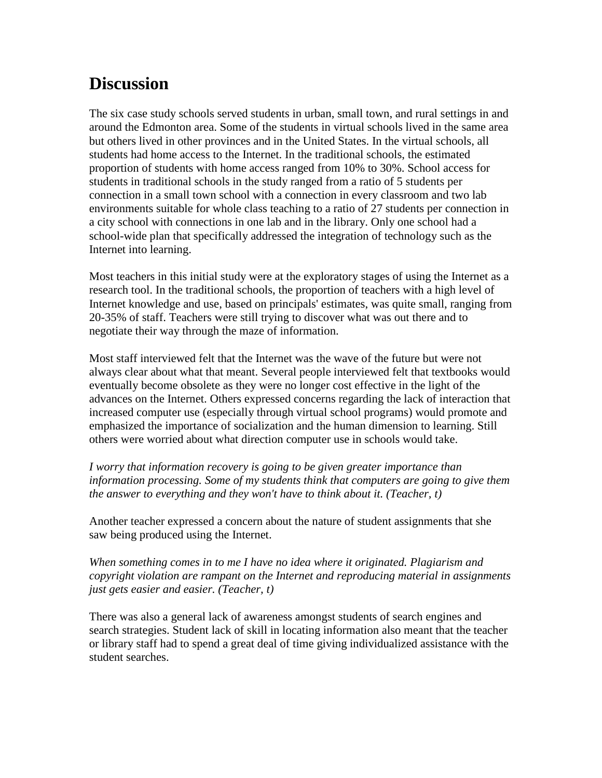## **Discussion**

The six case study schools served students in urban, small town, and rural settings in and around the Edmonton area. Some of the students in virtual schools lived in the same area but others lived in other provinces and in the United States. In the virtual schools, all students had home access to the Internet. In the traditional schools, the estimated proportion of students with home access ranged from 10% to 30%. School access for students in traditional schools in the study ranged from a ratio of 5 students per connection in a small town school with a connection in every classroom and two lab environments suitable for whole class teaching to a ratio of 27 students per connection in a city school with connections in one lab and in the library. Only one school had a school-wide plan that specifically addressed the integration of technology such as the Internet into learning.

Most teachers in this initial study were at the exploratory stages of using the Internet as a research tool. In the traditional schools, the proportion of teachers with a high level of Internet knowledge and use, based on principals' estimates, was quite small, ranging from 20-35% of staff. Teachers were still trying to discover what was out there and to negotiate their way through the maze of information.

Most staff interviewed felt that the Internet was the wave of the future but were not always clear about what that meant. Several people interviewed felt that textbooks would eventually become obsolete as they were no longer cost effective in the light of the advances on the Internet. Others expressed concerns regarding the lack of interaction that increased computer use (especially through virtual school programs) would promote and emphasized the importance of socialization and the human dimension to learning. Still others were worried about what direction computer use in schools would take.

*I worry that information recovery is going to be given greater importance than information processing. Some of my students think that computers are going to give them the answer to everything and they won't have to think about it. (Teacher, t)*

Another teacher expressed a concern about the nature of student assignments that she saw being produced using the Internet.

*When something comes in to me I have no idea where it originated. Plagiarism and copyright violation are rampant on the Internet and reproducing material in assignments just gets easier and easier. (Teacher, t)*

There was also a general lack of awareness amongst students of search engines and search strategies. Student lack of skill in locating information also meant that the teacher or library staff had to spend a great deal of time giving individualized assistance with the student searches.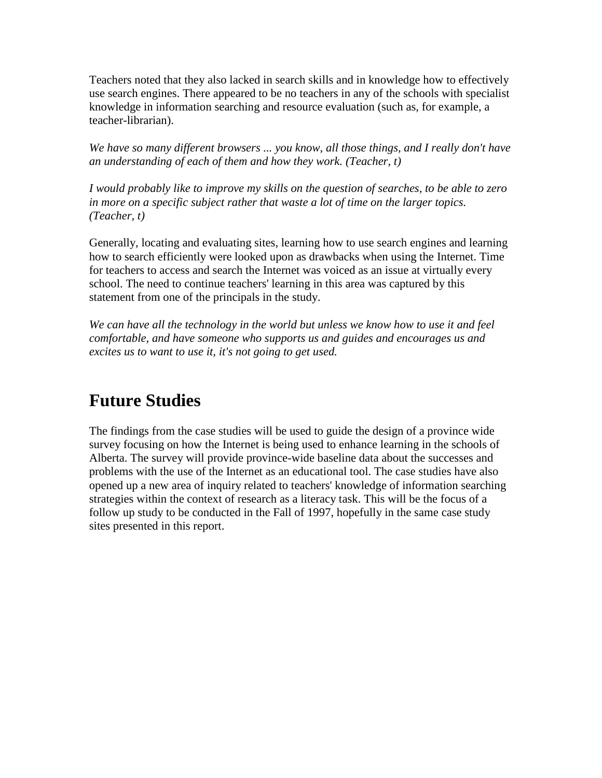Teachers noted that they also lacked in search skills and in knowledge how to effectively use search engines. There appeared to be no teachers in any of the schools with specialist knowledge in information searching and resource evaluation (such as, for example, a teacher-librarian).

*We have so many different browsers ... you know, all those things, and I really don't have an understanding of each of them and how they work. (Teacher, t)*

*I would probably like to improve my skills on the question of searches, to be able to zero in more on a specific subject rather that waste a lot of time on the larger topics. (Teacher, t)*

Generally, locating and evaluating sites, learning how to use search engines and learning how to search efficiently were looked upon as drawbacks when using the Internet. Time for teachers to access and search the Internet was voiced as an issue at virtually every school. The need to continue teachers' learning in this area was captured by this statement from one of the principals in the study.

*We can have all the technology in the world but unless we know how to use it and feel comfortable, and have someone who supports us and guides and encourages us and excites us to want to use it, it's not going to get used.*

### **Future Studies**

The findings from the case studies will be used to guide the design of a province wide survey focusing on how the Internet is being used to enhance learning in the schools of Alberta. The survey will provide province-wide baseline data about the successes and problems with the use of the Internet as an educational tool. The case studies have also opened up a new area of inquiry related to teachers' knowledge of information searching strategies within the context of research as a literacy task. This will be the focus of a follow up study to be conducted in the Fall of 1997, hopefully in the same case study sites presented in this report.